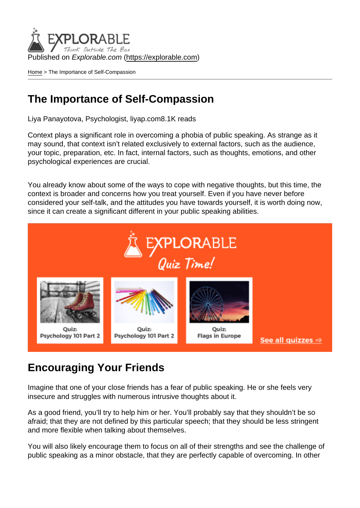Published on Explorable.com (<https://explorable.com>)

[Home](https://explorable.com/) > The Importance of Self-Compassion

### The Importance of Self-Compassion

Liya Panayotova, Psychologist, liyap.com8.1K reads

Context plays a significant role in overcoming a phobia of public speaking. As strange as it may sound, that context isn't related exclusively to external factors, such as the audience, your topic, preparation, etc. In fact, internal factors, such as thoughts, emotions, and other psychological experiences are crucial.

You already know about some of the ways to cope with negative thoughts, but this time, the context is broader and concerns how you treat yourself. Even if you have never before considered your self-talk, and the attitudes you have towards yourself, it is worth doing now, since it can create a significant different in your public speaking abilities.

### Encouraging Your Friends

Imagine that one of your close friends has a fear of public speaking. He or she feels very insecure and struggles with numerous intrusive thoughts about it.

As a good friend, you'll try to help him or her. You'll probably say that they shouldn't be so afraid; that they are not defined by this particular speech; that they should be less stringent and more flexible when talking about themselves.

You will also likely encourage them to focus on all of their strengths and see the challenge of public speaking as a minor obstacle, that they are perfectly capable of overcoming. In other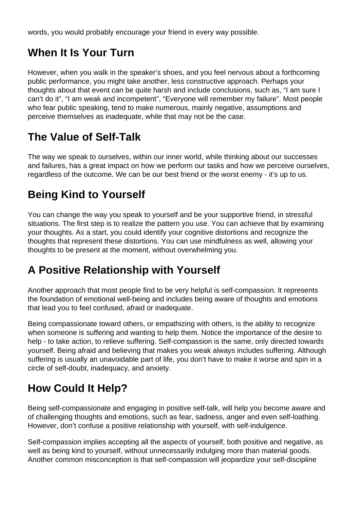words, you would probably encourage your friend in every way possible.

# **When It Is Your Turn**

However, when you walk in the speaker's shoes, and you feel nervous about a forthcoming public performance, you might take another, less constructive approach. Perhaps your thoughts about that event can be quite harsh and include conclusions, such as, "I am sure I can't do it", "I am weak and incompetent", "Everyone will remember my failure". Most people who fear public speaking, tend to make numerous, mainly negative, assumptions and perceive themselves as inadequate, while that may not be the case.

# **The Value of Self-Talk**

The way we speak to ourselves, within our inner world, while thinking about our successes and failures, has a great impact on how we perform our tasks and how we perceive ourselves, regardless of the outcome. We can be our best friend or the worst enemy - it's up to us.

# **Being Kind to Yourself**

You can change the way you speak to yourself and be your supportive friend, in stressful situations. The first step is to realize the pattern you use. You can achieve that by examining your thoughts. As a start, you could identify your cognitive distortions and recognize the thoughts that represent these distortions. You can use mindfulness as well, allowing your thoughts to be present at the moment, without overwhelming you.

## **A Positive Relationship with Yourself**

Another approach that most people find to be very helpful is self-compassion. It represents the foundation of emotional well-being and includes being aware of thoughts and emotions that lead you to feel confused, afraid or inadequate.

Being compassionate toward others, or empathizing with others, is the ability to recognize when someone is suffering and wanting to help them. Notice the importance of the desire to help - to take action, to relieve suffering. Self-compassion is the same, only directed towards yourself. Being afraid and believing that makes you weak always includes suffering. Although suffering is usually an unavoidable part of life, you don't have to make it worse and spin in a circle of self-doubt, inadequacy, and anxiety.

## **How Could It Help?**

Being self-compassionate and engaging in positive self-talk, will help you become aware and of challenging thoughts and emotions, such as fear, sadness, anger and even self-loathing. However, don't confuse a positive relationship with yourself, with self-indulgence.

Self-compassion implies accepting all the aspects of yourself, both positive and negative, as well as being kind to yourself, without unnecessarily indulging more than material goods. Another common misconception is that self-compassion will jeopardize your self-discipline